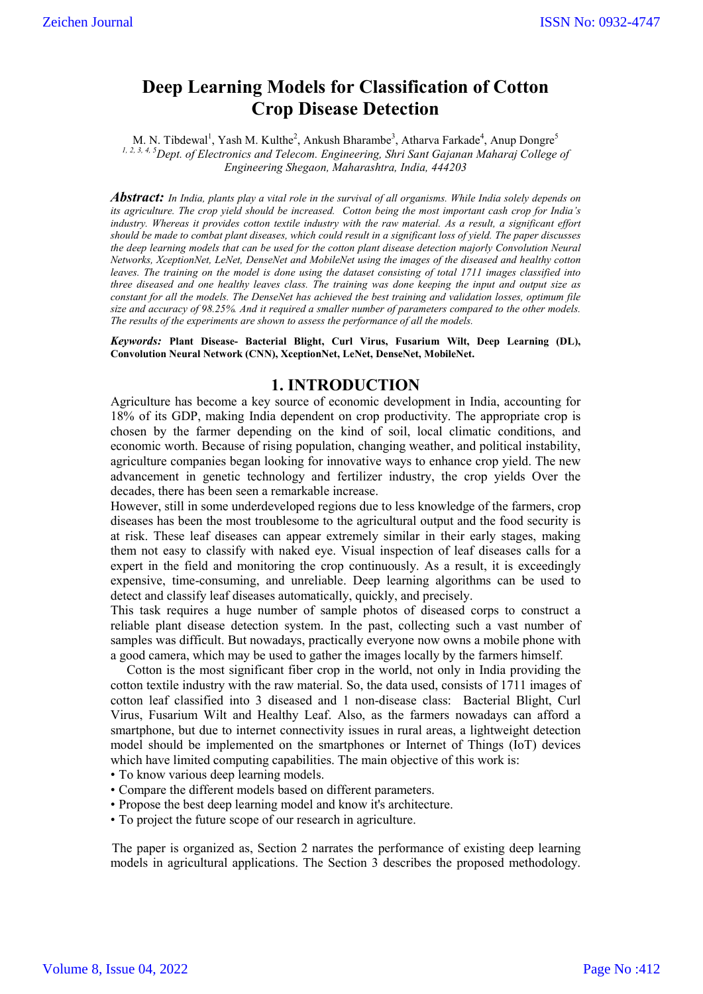# **Deep Learning Models for Classification of Cotton Crop Disease Detection**

M. N. Tibdewal<sup>1</sup>, Yash M. Kulthe<sup>2</sup>, Ankush Bharambe<sup>3</sup>, Atharva Farkade<sup>4</sup>, Anup Dongre<sup>5</sup> <sup>1, 2, 3, 4, 5</sup> Dept. of Electronics and Telecom. Engineering, Shri Sant Gajanan Maharaj College of *Engineering Shegaon, Maharashtra, India, 444203*

*Abstract: In India, plants play a vital role in the survival of all organisms. While India solely depends on its agriculture. The crop yield should be increased. Cotton being the most important cash crop for India's industry. Whereas it provides cotton textile industry with the raw material. As a result, a significant effort should be made to combat plant diseases, which could result in a significant loss of yield. The paper discusses the deep learning models that can be used for the cotton plant disease detection majorly Convolution Neural Networks, XceptionNet, LeNet, DenseNet and MobileNet using the images of the diseased and healthy cotton leaves. The training on the model is done using the dataset consisting of total 1711 images classified into three diseased and one healthy leaves class. The training was done keeping the input and output size as constant for all the models. The DenseNet has achieved the best training and validation losses, optimum file size and accuracy of 98.25%. And it required a smaller number of parameters compared to the other models. The results of the experiments are shown to assess the performance of all the models.*

*Keywords:* **Plant Disease- Bacterial Blight, Curl Virus, Fusarium Wilt, Deep Learning (DL), Convolution Neural Network (CNN), XceptionNet, LeNet, DenseNet, MobileNet.**

## **1. INTRODUCTION**

Agriculture has become a key source of economic development in India, accounting for 18% of its GDP, making India dependent on crop productivity. The appropriate crop is chosen by the farmer depending on the kind of soil, local climatic conditions, and economic worth. Because of rising population, changing weather, and political instability, agriculture companies began looking for innovative ways to enhance crop yield. The new advancement in genetic technology and fertilizer industry, the crop yields Over the decades, there has been seen a remarkable increase.

However, still in some underdeveloped regions due to less knowledge of the farmers, crop diseases has been the most troublesome to the agricultural output and the food security is at risk. These leaf diseases can appear extremely similar in their early stages, making them not easy to classify with naked eye. Visual inspection of leaf diseases calls for a expert in the field and monitoring the crop continuously. As a result, it is exceedingly expensive, time-consuming, and unreliable. Deep learning algorithms can be used to detect and classify leaf diseases automatically, quickly, and precisely.

This task requires a huge number of sample photos of diseased corps to construct a reliable plant disease detection system. In the past, collecting such a vast number of samples was difficult. But nowadays, practically everyone now owns a mobile phone with a good camera, which may be used to gather the images locally by the farmers himself.

 Cotton is the most significant fiber crop in the world, not only in India providing the cotton textile industry with the raw material. So, the data used, consists of 1711 images of cotton leaf classified into 3 diseased and 1 non-disease class: Bacterial Blight, Curl Virus, Fusarium Wilt and Healthy Leaf. Also, as the farmers nowadays can afford a smartphone, but due to internet connectivity issues in rural areas, a lightweight detection model should be implemented on the smartphones or Internet of Things (IoT) devices which have limited computing capabilities. The main objective of this work is:

- To know various deep learning models.
- Compare the different models based on different parameters.
- Propose the best deep learning model and know it's architecture.
- To project the future scope of our research in agriculture.

The paper is organized as, Section 2 narrates the performance of existing deep learning models in agricultural applications. The Section 3 describes the proposed methodology.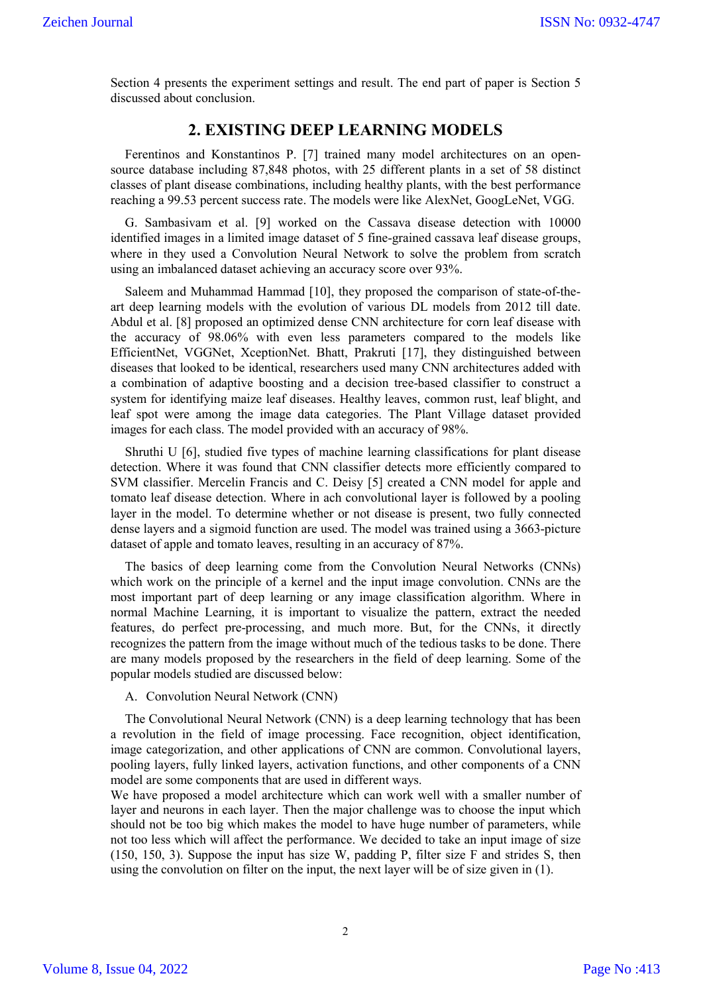Section 4 presents the experiment settings and result. The end part of paper is Section 5 discussed about conclusion.

# **2. EXISTING DEEP LEARNING MODELS**

Ferentinos and Konstantinos P. [7] trained many model architectures on an opensource database including 87,848 photos, with 25 different plants in a set of 58 distinct classes of plant disease combinations, including healthy plants, with the best performance reaching a 99.53 percent success rate. The models were like AlexNet, GoogLeNet, VGG.

G. Sambasivam et al. [9] worked on the Cassava disease detection with 10000 identified images in a limited image dataset of 5 fine-grained cassava leaf disease groups, where in they used a Convolution Neural Network to solve the problem from scratch using an imbalanced dataset achieving an accuracy score over 93%.

Saleem and Muhammad Hammad [10], they proposed the comparison of state-of-theart deep learning models with the evolution of various DL models from 2012 till date. Abdul et al. [8] proposed an optimized dense CNN architecture for corn leaf disease with the accuracy of 98.06% with even less parameters compared to the models like EfficientNet, VGGNet, XceptionNet. Bhatt, Prakruti [17], they distinguished between diseases that looked to be identical, researchers used many CNN architectures added with a combination of adaptive boosting and a decision tree-based classifier to construct a system for identifying maize leaf diseases. Healthy leaves, common rust, leaf blight, and leaf spot were among the image data categories. The Plant Village dataset provided images for each class. The model provided with an accuracy of 98%.

Shruthi U [6], studied five types of machine learning classifications for plant disease detection. Where it was found that CNN classifier detects more efficiently compared to SVM classifier. Mercelin Francis and C. Deisy [5] created a CNN model for apple and tomato leaf disease detection. Where in ach convolutional layer is followed by a pooling layer in the model. To determine whether or not disease is present, two fully connected dense layers and a sigmoid function are used. The model was trained using a 3663-picture dataset of apple and tomato leaves, resulting in an accuracy of 87%.

The basics of deep learning come from the Convolution Neural Networks (CNNs) which work on the principle of a kernel and the input image convolution. CNNs are the most important part of deep learning or any image classification algorithm. Where in normal Machine Learning, it is important to visualize the pattern, extract the needed features, do perfect pre-processing, and much more. But, for the CNNs, it directly recognizes the pattern from the image without much of the tedious tasks to be done. There are many models proposed by the researchers in the field of deep learning. Some of the popular models studied are discussed below:

A. Convolution Neural Network (CNN)

The Convolutional Neural Network (CNN) is a deep learning technology that has been a revolution in the field of image processing. Face recognition, object identification, image categorization, and other applications of CNN are common. Convolutional layers, pooling layers, fully linked layers, activation functions, and other components of a CNN model are some components that are used in different ways.

We have proposed a model architecture which can work well with a smaller number of layer and neurons in each layer. Then the major challenge was to choose the input which should not be too big which makes the model to have huge number of parameters, while not too less which will affect the performance. We decided to take an input image of size (150, 150, 3). Suppose the input has size W, padding P, filter size F and strides S, then using the convolution on filter on the input, the next layer will be of size given in (1).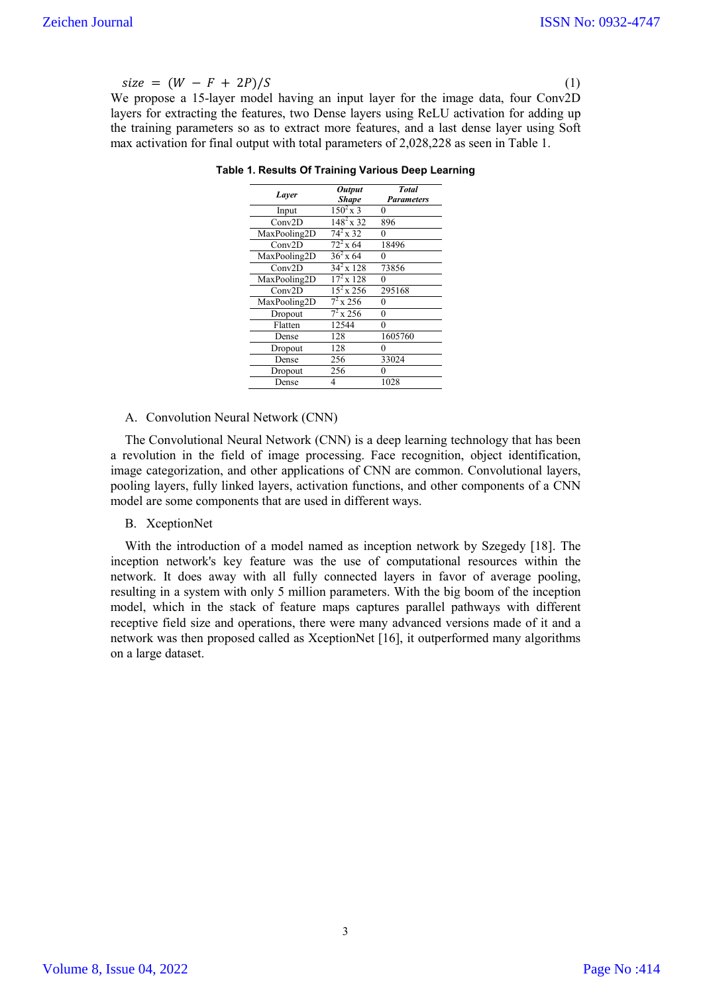$size = (W - F + 2P)/S$  (1)

We propose a 15-layer model having an input layer for the image data, four Conv2D layers for extracting the features, two Dense layers using ReLU activation for adding up the training parameters so as to extract more features, and a last dense layer using Soft max activation for final output with total parameters of 2,028,228 as seen in Table 1.

| Layer        | <b>Output</b><br><b>Shape</b> | <b>Total</b><br><b>Parameters</b> |  |
|--------------|-------------------------------|-----------------------------------|--|
| Input        | $150^2$ x 3                   | 0                                 |  |
| Conv2D       | $148^2 \times 32$             | 896                               |  |
| MaxPooling2D | $74^2 \times 32$              | 0                                 |  |
| Conv2D       | $72^2$ x 64                   | 18496                             |  |
| MaxPooling2D | $36^{2}$ x $64$               | 0                                 |  |
| Conv2D       | $34^{2}$ x 128                | 73856                             |  |
| MaxPooling2D | $17^2$ x 128                  | 0                                 |  |
| Conv2D       | $\frac{15^2}{256}$            | 295168                            |  |
| MaxPooling2D | $7^2$ x 256                   | 0                                 |  |
| Dropout      | $7^2$ x 256                   | 0                                 |  |
| Flatten      | 12544                         | 0                                 |  |
| Dense        | 128                           | 1605760                           |  |
| Dropout      | 128                           | 0                                 |  |
| Dense        | 256                           | 33024                             |  |
| Dropout      | 256                           | 0                                 |  |
| Dense        | 4                             | 1028                              |  |

**Table 1. Results Of Training Various Deep Learning**

#### A. Convolution Neural Network (CNN)

The Convolutional Neural Network (CNN) is a deep learning technology that has been a revolution in the field of image processing. Face recognition, object identification, image categorization, and other applications of CNN are common. Convolutional layers, pooling layers, fully linked layers, activation functions, and other components of a CNN model are some components that are used in different ways.

#### B. XceptionNet

With the introduction of a model named as inception network by Szegedy [18]. The inception network's key feature was the use of computational resources within the network. It does away with all fully connected layers in favor of average pooling, resulting in a system with only 5 million parameters. With the big boom of the inception model, which in the stack of feature maps captures parallel pathways with different receptive field size and operations, there were many advanced versions made of it and a network was then proposed called as XceptionNet [16], it outperformed many algorithms on a large dataset.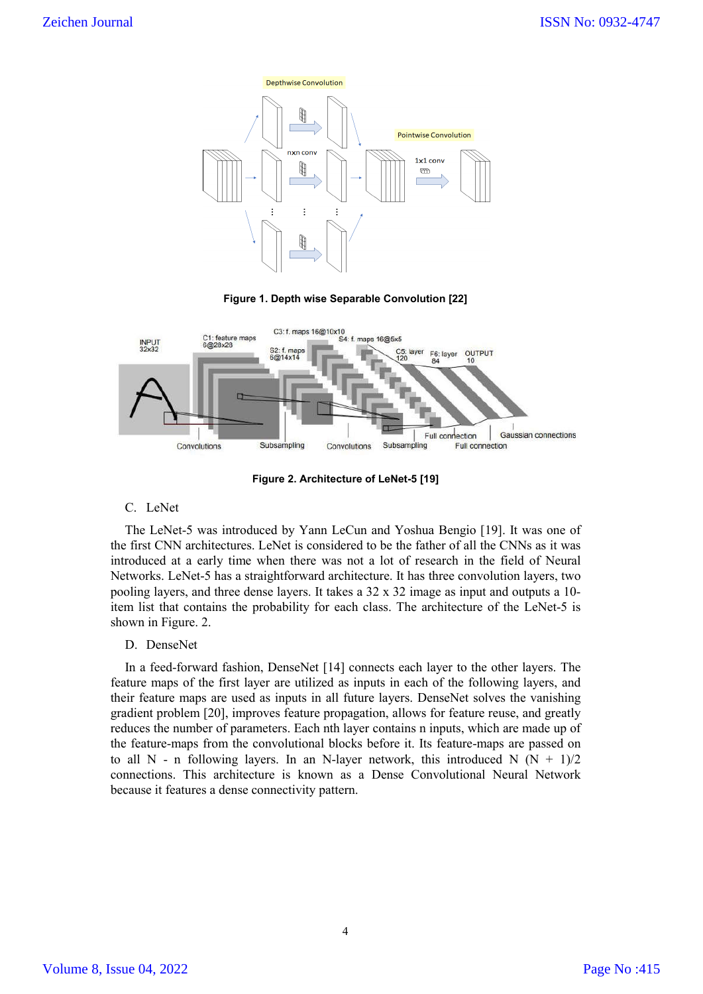

**Figure 1. Depth wise Separable Convolution [22]**



**Figure 2. Architecture of LeNet-5 [19]**

C. LeNet

The LeNet-5 was introduced by Yann LeCun and Yoshua Bengio [19]. It was one of the first CNN architectures. LeNet is considered to be the father of all the CNNs as it was introduced at a early time when there was not a lot of research in the field of Neural Networks. LeNet-5 has a straightforward architecture. It has three convolution layers, two pooling layers, and three dense layers. It takes a 32 x 32 image as input and outputs a 10 item list that contains the probability for each class. The architecture of the LeNet-5 is shown in Figure. 2.

D. DenseNet

In a feed-forward fashion, DenseNet [14] connects each layer to the other layers. The feature maps of the first layer are utilized as inputs in each of the following layers, and their feature maps are used as inputs in all future layers. DenseNet solves the vanishing gradient problem [20], improves feature propagation, allows for feature reuse, and greatly reduces the number of parameters. Each nth layer contains n inputs, which are made up of the feature-maps from the convolutional blocks before it. Its feature-maps are passed on to all N - n following layers. In an N-layer network, this introduced N  $(N + 1)/2$ connections. This architecture is known as a Dense Convolutional Neural Network because it features a dense connectivity pattern.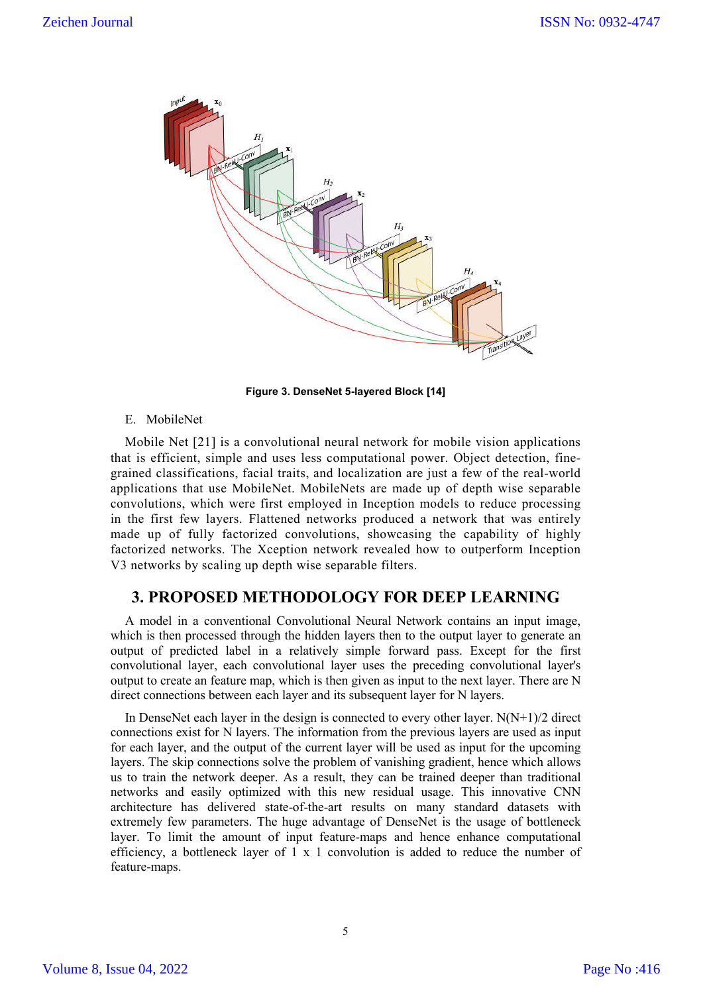

**Figure 3. DenseNet 5 5-layered Block [14]**

### E. MobileNet

Mobile Net [21] is a convolutional neural network for mobile vision applications Mobile Net [21] is a convolutional neural network for mobile vision applications that is efficient, simple and uses less computational power. Object detection, finegrained classifications, facial traits, and localization are just a few of the real-world applications that use MobileNet. MobileNets are made up of depth wise separable convolutions, which were first employed in Inception models to reduce processing in the first few layers. Flattened networks produced a network that was entirely made up of fully factorized convolutions, showcasing the capability of highly factorized networks. The Xception network revealed how to outperform Inception V3 networks by scaling up depth wise separable filters. tions that use MobileNet. MobileNets are made up of depth wise se<br>utions, which were first employed in Inception models to reduce pro<br>first few layers. Flattened networks produced a network that was  $\alpha$ <br>up of fully factor

# **3. PROPOSED METHODOLOGY FOR DEEP LEARNING 3. DEEP LEARNING**

A model in a conventional Convolutional Neural Network contains an input image, which is then processed through the hidden layers then to the output layer to generate an output of predicted label in a relatively simple forward pass. Except for the first convolutional layer, each convolutional layer uses the preceding convolutional layer's output to create an feature map, which is then given as input to the next layer. There are N direct connections between each layer and its subsequent layer for N layers. del in a conventional Convolutional Neural Network contains an input image, then processed through the hidden layers then to the output layer to generate an f predicted label in a relatively simple forward pass. Except for

In DenseNet each layer in the design is connected to every other layer.  $N(N+1)/2$  direct connections exist for N layers. The information from the previous layers are used as input for each layer, and the output of the current layer will be used as input for layers. The skip connections solve the problem of vanishing gradient, hence which allows us to train the network deeper. As a result, they can be trained deeper than traditional networks and easily optimized with this new residual usage. This innovative CNN architecture has delivered state-of-the-art results on many standard datasets with extremely few parameters. The huge advantage of DenseNet is the usage of bottleneck layers. The skip connections solve the problem of vanishing gradient, hence which allows<br>us to train the network deeper. As a result, they can be trained deeper than traditional<br>networks and easily optimized with this new efficiency, a bottleneck layer of 1 x 1 convolution is added to reduce the number of feature-maps. nvolutional layer, each convolutional layer uses the preceding convolutional layer's<br>tput to create an feature map, which is then given as input to the next layer. There are N<br>rect connections between each layer and its s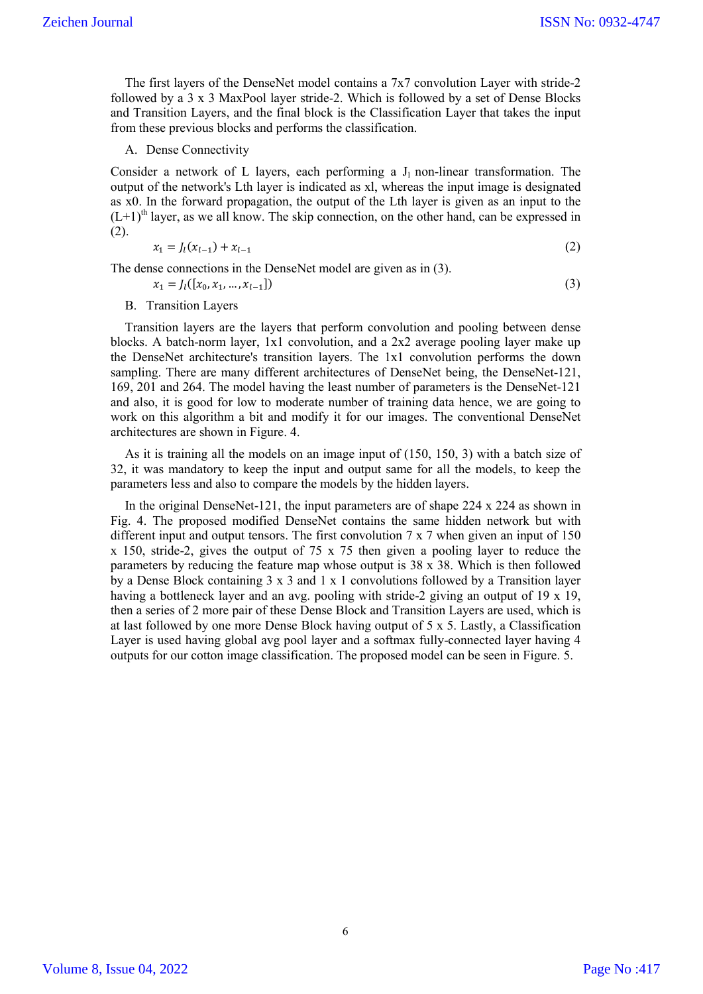The first layers of the DenseNet model contains a  $7x7$  convolution Layer with stride-2 followed by a 3 x 3 MaxPool layer stride-2. Which is followed by a set of Dense Blocks and Transition Layers, and the final block is the Classification Layer that takes the input from these previous blocks and performs the classification.

A. Dense Connectivity

B. Transition Layers

Consider a network of L layers, each performing a  $J_1$  non-linear transformation. The output of the network's Lth layer is indicated as xl, whereas the input image is designated as x0. In the forward propagation, the output of the Lth layer is given as an input to the  $(L+1)$ <sup>th</sup> layer, as we all know. The skip connection, on the other hand, can be expressed in (2).

$$
x_1 = J_l(x_{l-1}) + x_{l-1} \tag{2}
$$

The dense connections in the DenseNet model are given as in (3).

$$
x_1 = J_l([x_0, x_1, \dots, x_{l-1}])
$$
\n(3)

Transition layers are the layers that perform convolution and pooling between dense blocks. A batch-norm layer, 1x1 convolution, and a 2x2 average pooling layer make up the DenseNet architecture's transition layers. The 1x1 convolution performs the down sampling. There are many different architectures of DenseNet being, the DenseNet-121, 169, 201 and 264. The model having the least number of parameters is the DenseNet-121 and also, it is good for low to moderate number of training data hence, we are going to work on this algorithm a bit and modify it for our images. The conventional DenseNet architectures are shown in Figure. 4.

As it is training all the models on an image input of (150, 150, 3) with a batch size of 32, it was mandatory to keep the input and output same for all the models, to keep the parameters less and also to compare the models by the hidden layers.

In the original DenseNet-121, the input parameters are of shape 224 x 224 as shown in Fig. 4. The proposed modified DenseNet contains the same hidden network but with different input and output tensors. The first convolution 7 x 7 when given an input of 150 x 150, stride-2, gives the output of 75 x 75 then given a pooling layer to reduce the parameters by reducing the feature map whose output is 38 x 38. Which is then followed by a Dense Block containing 3 x 3 and 1 x 1 convolutions followed by a Transition layer having a bottleneck layer and an avg. pooling with stride-2 giving an output of 19 x 19, then a series of 2 more pair of these Dense Block and Transition Layers are used, which is at last followed by one more Dense Block having output of 5 x 5. Lastly, a Classification Layer is used having global avg pool layer and a softmax fully-connected layer having 4 outputs for our cotton image classification. The proposed model can be seen in Figure. 5.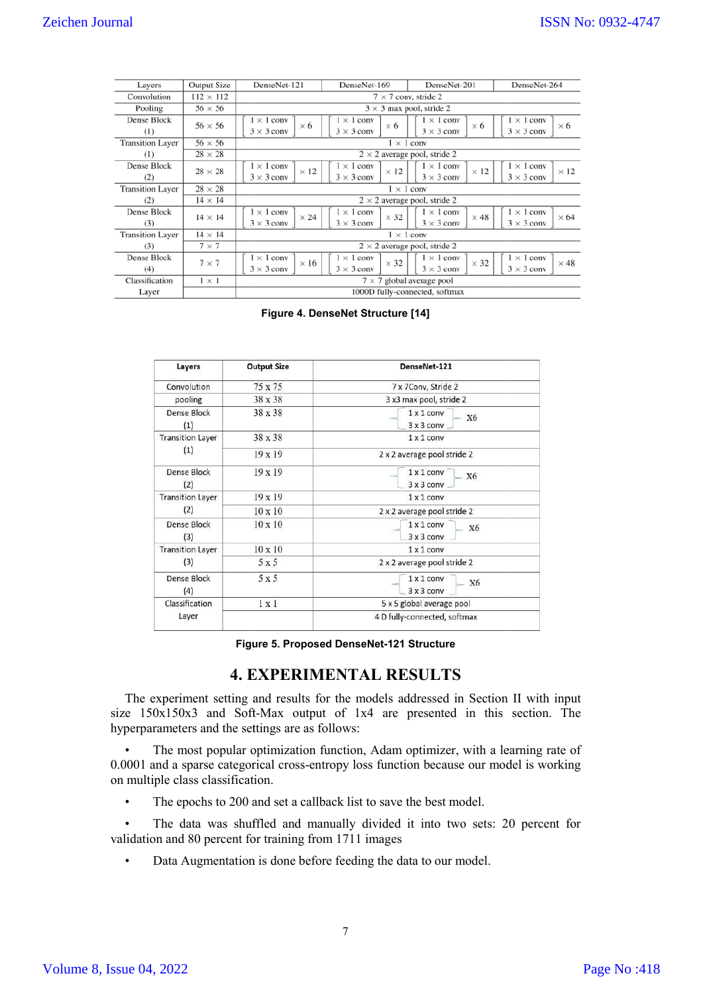| Layers                  | <b>Output Size</b> | DenseNet-121                                          | DenseNet-169                                          | DenseNet-201                                          | DenseNet-264                                          |  |
|-------------------------|--------------------|-------------------------------------------------------|-------------------------------------------------------|-------------------------------------------------------|-------------------------------------------------------|--|
| Convolution             | $112 \times 112$   | $7 \times 7$ conv, stride 2                           |                                                       |                                                       |                                                       |  |
| Pooling                 | $56 \times 56$     | $3 \times 3$ max pool, stride 2                       |                                                       |                                                       |                                                       |  |
| Dense Block<br>(1)      | $56 \times 56$     | $1 \times 1$ conv<br>$\times$ 6<br>$3 \times 3$ conv  | $1 \times 1$ conv<br>$\times$ 6<br>$3 \times 3$ conv  | $1 \times 1$ conv<br>$\times$ 6<br>$3 \times 3$ conv  | $1 \times 1$ conv<br>$\times$ 6<br>$3 \times 3$ conv  |  |
| <b>Transition Layer</b> | $56 \times 56$     | $1 \times 1$ conv                                     |                                                       |                                                       |                                                       |  |
| (1)                     | $28 \times 28$     | $2 \times 2$ average pool, stride 2                   |                                                       |                                                       |                                                       |  |
| Dense Block<br>(2)      | $28 \times 28$     | $1 \times 1$ conv<br>$\times$ 12<br>$3 \times 3$ conv | $1 \times 1$ conv<br>$\times$ 12<br>$3 \times 3$ conv | $1 \times 1$ conv<br>$\times$ 12<br>$3 \times 3$ conv | $1 \times 1$ conv<br>$\times$ 12<br>$3 \times 3$ conv |  |
| <b>Transition Layer</b> | $28 \times 28$     | $1 \times 1$ conv                                     |                                                       |                                                       |                                                       |  |
| (2)                     | $14 \times 14$     | $2 \times 2$ average pool, stride 2                   |                                                       |                                                       |                                                       |  |
| Dense Block<br>(3)      | $14 \times 14$     | $1 \times 1$ conv<br>$\times 24$<br>$3 \times 3$ conv | $1 \times 1$ conv<br>$\times$ 32<br>$3 \times 3$ conv | $1 \times 1$ conv<br>$\times$ 48<br>$3 \times 3$ conv | $1 \times 1$ conv<br>$\times$ 64<br>$3 \times 3$ conv |  |
| <b>Transition Layer</b> | $14 \times 14$     | $1 \times 1$ conv                                     |                                                       |                                                       |                                                       |  |
| (3)                     | $7 \times 7$       | $2 \times 2$ average pool, stride 2                   |                                                       |                                                       |                                                       |  |
| Dense Block<br>(4)      | $7 \times 7$       | $1 \times 1$ conv<br>$\times 16$<br>$3 \times 3$ conv | $1 \times 1$ conv<br>$\times$ 32<br>$3 \times 3$ conv | $1 \times 1$ conv<br>$\times$ 32<br>$3 \times 3$ conv | $1 \times 1$ conv<br>$\times$ 48<br>$3 \times 3$ conv |  |
| Classification          | $1 \times 1$       | $7 \times 7$ global average pool                      |                                                       |                                                       |                                                       |  |
| Layer                   |                    | 1000D fully-connected, softmax                        |                                                       |                                                       |                                                       |  |

| $112 \times 112$<br>lution<br>$56 \times 56$<br>ling | <b>Output Size</b><br>DenseNet-121 | DenseNet-169<br>DenseNet-201<br>DenseNet-264<br>$7 \times 7$ conv, stride 2                              |  |
|------------------------------------------------------|------------------------------------|----------------------------------------------------------------------------------------------------------|--|
|                                                      |                                    | $3 \times 3$ max pool, stride 2                                                                          |  |
| <b>Block</b><br>$56 \times 56$                       | $1 \times 1$ conv<br>$\times$ 6    | $1 \times 1$ conv<br>$1 \times 1$ conv<br>$1 \times 1$ conv<br>$\times$ 6<br>$\times$ 6<br>$\times$ 6    |  |
|                                                      | $3 \times 3$ conv                  | $3 \times 3$ conv<br>$3 \times 3$ conv<br>$3 \times 3$ conv                                              |  |
| n Layer<br>$56 \times 56$<br>$28 \times 28$          |                                    | $1 \times 1$ conv<br>$2 \times 2$ average pool, stride 2                                                 |  |
| Block<br>$28 \times 28$                              | $1 \times 1$ conv<br>$\times$ 12   | $1 \times 1$ conv<br>$1 \times 1$ conv<br>$1 \times 1$ conv<br>$\times$ 12<br>$\times$ 12<br>$\times$ 12 |  |
| n Layer<br>$28 \times 28$                            | $3 \times 3$ conv                  | $3 \times 3$ conv<br>$3 \times 3$ conv<br>$3 \times 3$ conv<br>$1 \times 1$ conv                         |  |
| $14 \times 14$                                       |                                    | $2 \times 2$ average pool, stride 2                                                                      |  |
| Block<br>$14 \times 14$                              | $1 \times 1$ conv<br>$\times 24$   | $1 \times 1$ conv<br>$1 \times 1$ conv<br>$1 \times 1$ conv<br>$\times$ 32<br>$\times$ 48<br>$\times 64$ |  |
| $14 \times 14$<br>n Layer                            | $3 \times 3$ conv                  | $3 \times 3$ conv<br>$3 \times 3$ conv<br>$3 \times 3$ conv<br>$1 \times 1$ conv                         |  |
| $7 \times 7$                                         |                                    | $2 \times 2$ average pool, stride 2                                                                      |  |
| <b>Block</b><br>$7 \times 7$                         | $1 \times 1$ conv<br>$\times 16$   | $1 \times 1$ conv<br>$1 \times 1$ conv<br>$1 \times 1$ conv<br>$\times$ 32<br>$\times 32$<br>$\times$ 48 |  |
| ication<br>$1 \times 1$                              | $3 \times 3$ conv                  | $3 \times 3$ conv<br>$3 \times 3$ conv<br>$3 \times 3$ conv<br>$7 \times 7$ global average pool          |  |
|                                                      |                                    | 1000D fully-connected, softmax                                                                           |  |
| Layers                                               | <b>Output Size</b>                 | DenseNet-121                                                                                             |  |
| Convolution                                          | 75 x 75                            | 7 x 7Conv, Stride 2                                                                                      |  |
|                                                      | 38 x 38                            | 3 x3 max pool, stride 2                                                                                  |  |
| pooling                                              |                                    |                                                                                                          |  |
| Dense Block                                          | 38 x 38                            | $1 \times 1$ conv<br>X6<br>3 x 3 conv                                                                    |  |
| (1)<br><b>Transition Layer</b>                       | 38 x 38                            | $1 \times 1$ conv                                                                                        |  |
| (1)                                                  | 19 x 19                            | 2 x 2 average pool stride 2                                                                              |  |
| Dense Block<br>(2)                                   | 19x19                              | $1 \times 1$ conv<br><b>X6</b><br>$3x3$ conv                                                             |  |
|                                                      | $19 \times 19$                     | $1 \times 1$ conv                                                                                        |  |
| <b>Transition Layer</b><br>(2)                       | $10 \times 10$                     | 2 x 2 average pool stride 2                                                                              |  |
| Dense Block                                          | $10 \times 10$                     | $1 \times 1$ conv<br>X6                                                                                  |  |
| (3)                                                  | $10 \times 10$                     | 3 x 3 conv<br>$1 \times 1$ conv                                                                          |  |
| (3)                                                  | 5 x 5                              | 2 x 2 average pool stride 2                                                                              |  |
| <b>Transition Layer</b><br><b>Dense Block</b>        | 5 x 5                              | $1 \times 1$ conv<br><b>X6</b>                                                                           |  |
| (4)<br>Classification                                | 1 x 1                              | $3 \times 3$ conv<br>5 x 5 global average pool                                                           |  |

# **4. EXPERIMENT EXPERIMENTAL RESULTS**

The experiment setting and results for the models addressed in Section II with input size 150x150x3 and Soft-Max output of 1x4 are presented in this section. The hyperparameters and the settings are as follows:

• The most popular optimization function, Adam optimizer, with a learning rate of 0.0001 and a sparse categorical cross-entropy loss function because our model is working on multiple class classification.

• The epochs to 200 and set a callback list to save the best model.

• The data was shuffled and manually divided it into two sets: 20 percent for validation and 80 percent for training from 1711 images

• Data Augmentation is done before feeding the data to our model.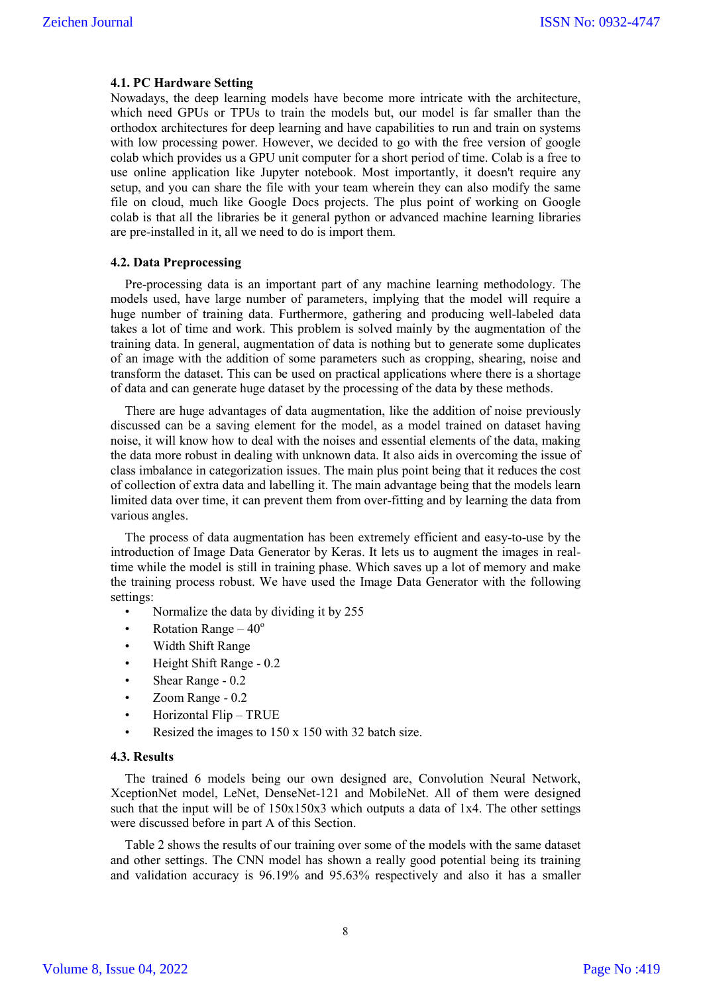#### **4.1. PC Hardware Setting**

Nowadays, the deep learning models have become more intricate with the architecture, which need GPUs or TPUs to train the models but, our model is far smaller than the orthodox architectures for deep learning and have capabilities to run and train on systems with low processing power. However, we decided to go with the free version of google colab which provides us a GPU unit computer for a short period of time. Colab is a free to use online application like Jupyter notebook. Most importantly, it doesn't require any setup, and you can share the file with your team wherein they can also modify the same file on cloud, much like Google Docs projects. The plus point of working on Google colab is that all the libraries be it general python or advanced machine learning libraries are pre-installed in it, all we need to do is import them.

#### **4.2. Data Preprocessing**

Pre-processing data is an important part of any machine learning methodology. The models used, have large number of parameters, implying that the model will require a huge number of training data. Furthermore, gathering and producing well-labeled data takes a lot of time and work. This problem is solved mainly by the augmentation of the training data. In general, augmentation of data is nothing but to generate some duplicates of an image with the addition of some parameters such as cropping, shearing, noise and transform the dataset. This can be used on practical applications where there is a shortage of data and can generate huge dataset by the processing of the data by these methods.

There are huge advantages of data augmentation, like the addition of noise previously discussed can be a saving element for the model, as a model trained on dataset having noise, it will know how to deal with the noises and essential elements of the data, making the data more robust in dealing with unknown data. It also aids in overcoming the issue of class imbalance in categorization issues. The main plus point being that it reduces the cost of collection of extra data and labelling it. The main advantage being that the models learn limited data over time, it can prevent them from over-fitting and by learning the data from various angles.

The process of data augmentation has been extremely efficient and easy-to-use by the introduction of Image Data Generator by Keras. It lets us to augment the images in realtime while the model is still in training phase. Which saves up a lot of memory and make the training process robust. We have used the Image Data Generator with the following settings:

- Normalize the data by dividing it by 255
- Rotation Range  $-40^\circ$
- Width Shift Range
- Height Shift Range 0.2
- Shear Range 0.2
- Zoom Range 0.2
- Horizontal Flip TRUE
- Resized the images to 150 x 150 with 32 batch size.

### **4.3. Results**

The trained 6 models being our own designed are, Convolution Neural Network, XceptionNet model, LeNet, DenseNet-121 and MobileNet. All of them were designed such that the input will be of 150x150x3 which outputs a data of 1x4. The other settings were discussed before in part A of this Section.

Table 2 shows the results of our training over some of the models with the same dataset and other settings. The CNN model has shown a really good potential being its training and validation accuracy is 96.19% and 95.63% respectively and also it has a smaller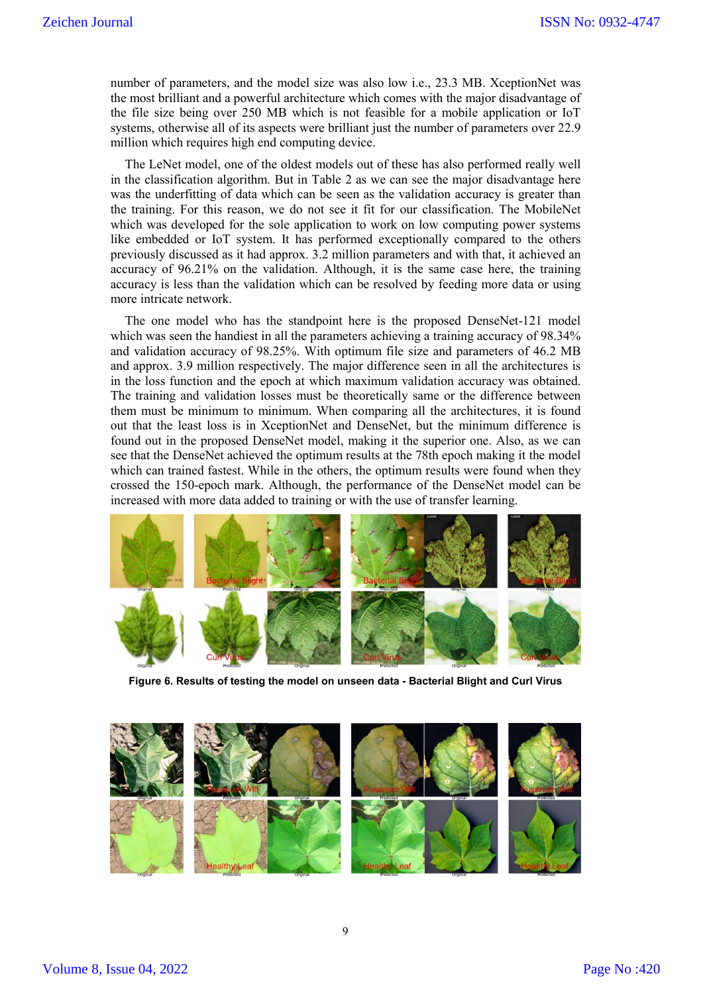number of parameters, and the model size was also low i.e., 23.3 MB. XceptionNet was the most brilliant and a powerful architecture which comes with the major disadvantage of the file size being over 250 MB which is not feasible for a mobile application or IoT systems, otherwise all of its aspects were brilliant just the number of parameters over 22.9 million which requires high end computing device.

The LeNet model, one of the oldest models out of these has also performed really well in the classification algorithm. But in Table 2 as we can see the major disadvantage here was the underfitting of data which can be seen as the validation accuracy is greater than the training. For this reason, we do not see it fit for our classification. The MobileNet which was developed for the sole application to work on low computing power systems like embedded or IoT system. It has performed exceptionally compared to the others previously discussed as it had approx. 3.2 million parameters and with that, it achieved an accuracy of 96.21% on the validation. Although, it is the same case here, the training accuracy is less than the validation which can be resolved by feeding more data or using more intricate network.

The one model who has the standpoint here is the proposed DenseNet-121 model which was seen the handiest in all the parameters achieving a training accuracy of 98.34% and validation accuracy of 98.25%. With optimum file size and parameters of 46.2 MB and approx. 3.9 million respectively. The major difference seen in all the architectures is in the loss function and the epoch at which maximum validation accuracy was obtained. The training and validation losses must be theoretically same or the difference between them must be minimum to minimum. When comparing all the architectures, it is found out that the least loss is in XceptionNet and DenseNet, but the minimum difference is found out in the proposed DenseNet model, making it the superior one. Also, as we can see that the DenseNet achieved the optimum results at the 78th epoch making it the model which can trained fastest. While in the others, the optimum results were found when they crossed the 150-epoch mark. Although, the performance of the DenseNet model can be increased with more data added to training or with the use of transfer learning.



**Figure 6. Results of testing the model on unseen data - Bacterial Blight and Curl Virus**

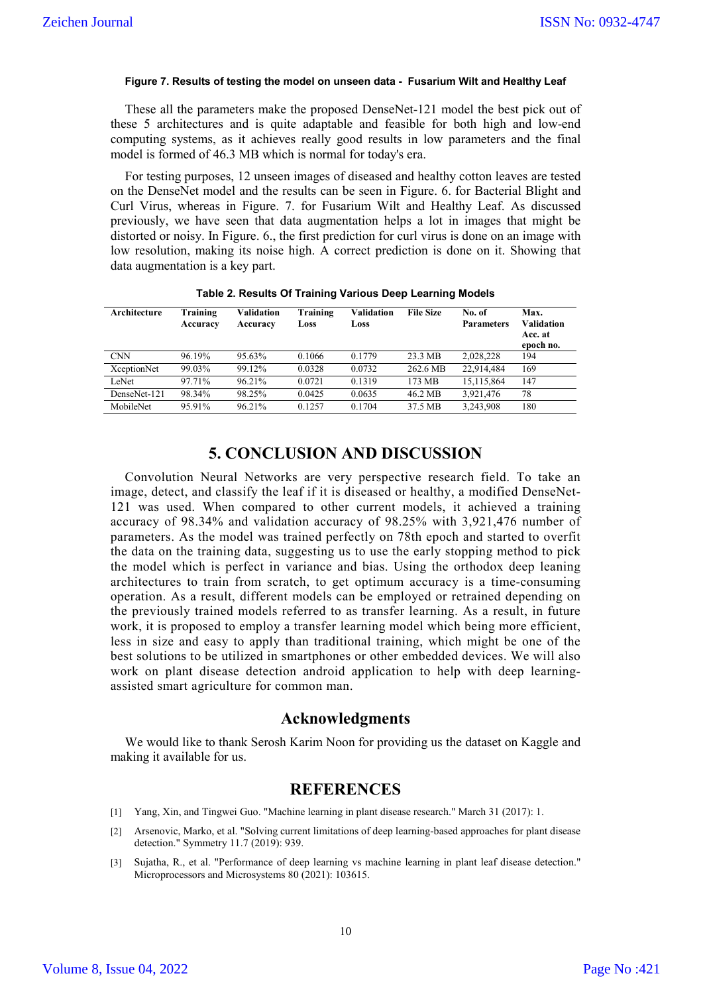#### **Figure 7. Results of testing the model on unseen data - Fusarium Wilt and Healthy Leaf**

These all the parameters make the proposed DenseNet-121 model the best pick out of these 5 architectures and is quite adaptable and feasible for both high and low-end computing systems, as it achieves really good results in low parameters and the final model is formed of 46.3 MB which is normal for today's era.

For testing purposes, 12 unseen images of diseased and healthy cotton leaves are tested on the DenseNet model and the results can be seen in Figure. 6. for Bacterial Blight and Curl Virus, whereas in Figure. 7. for Fusarium Wilt and Healthy Leaf. As discussed previously, we have seen that data augmentation helps a lot in images that might be distorted or noisy. In Figure. 6., the first prediction for curl virus is done on an image with low resolution, making its noise high. A correct prediction is done on it. Showing that data augmentation is a key part.

| Architecture       | Training<br>Accuracy | Validation<br>Accuracy | Training<br>Loss | Validation<br>Loss | <b>File Size</b> | No. of<br><b>Parameters</b> | Max.<br>Validation<br>Acc. at<br>epoch no. |
|--------------------|----------------------|------------------------|------------------|--------------------|------------------|-----------------------------|--------------------------------------------|
| <b>CNN</b>         | 96.19%               | 95.63%                 | 0.1066           | 0.1779             | 23.3 MB          | 2.028.228                   | 194                                        |
| <b>XceptionNet</b> | 99.03%               | 99.12%                 | 0.0328           | 0.0732             | 262.6 MB         | 22,914,484                  | 169                                        |
| LeNet              | 97.71%               | 96.21%                 | 0.0721           | 0.1319             | 173 MB           | 15,115,864                  | 147                                        |
| DenseNet-121       | 98.34%               | 98.25%                 | 0.0425           | 0.0635             | 46.2 MB          | 3.921.476                   | 78                                         |
| MobileNet          | 95.91%               | 96.21%                 | 0.1257           | 0.1704             | 37.5 MB          | 3,243,908                   | 180                                        |

**Table 2. Results Of Training Various Deep Learning Models**

# **5. CONCLUSION AND DISCUSSION**

Convolution Neural Networks are very perspective research field. To take an image, detect, and classify the leaf if it is diseased or healthy, a modified DenseNet-121 was used. When compared to other current models, it achieved a training accuracy of 98.34% and validation accuracy of 98.25% with 3,921,476 number of parameters. As the model was trained perfectly on 78th epoch and started to overfit the data on the training data, suggesting us to use the early stopping method to pick the model which is perfect in variance and bias. Using the orthodox deep leaning architectures to train from scratch, to get optimum accuracy is a time-consuming operation. As a result, different models can be employed or retrained depending on the previously trained models referred to as transfer learning. As a result, in future work, it is proposed to employ a transfer learning model which being more efficient, less in size and easy to apply than traditional training, which might be one of the best solutions to be utilized in smartphones or other embedded devices. We will also work on plant disease detection android application to help with deep learningassisted smart agriculture for common man.

### **Acknowledgments**

We would like to thank Serosh Karim Noon for providing us the dataset on Kaggle and making it available for us.

### **REFERENCES**

- [1] Yang, Xin, and Tingwei Guo. "Machine learning in plant disease research." March 31 (2017): 1.
- [2] Arsenovic, Marko, et al. "Solving current limitations of deep learning-based approaches for plant disease detection." Symmetry 11.7 (2019): 939.
- [3] Sujatha, R., et al. "Performance of deep learning vs machine learning in plant leaf disease detection." Microprocessors and Microsystems 80 (2021): 103615.